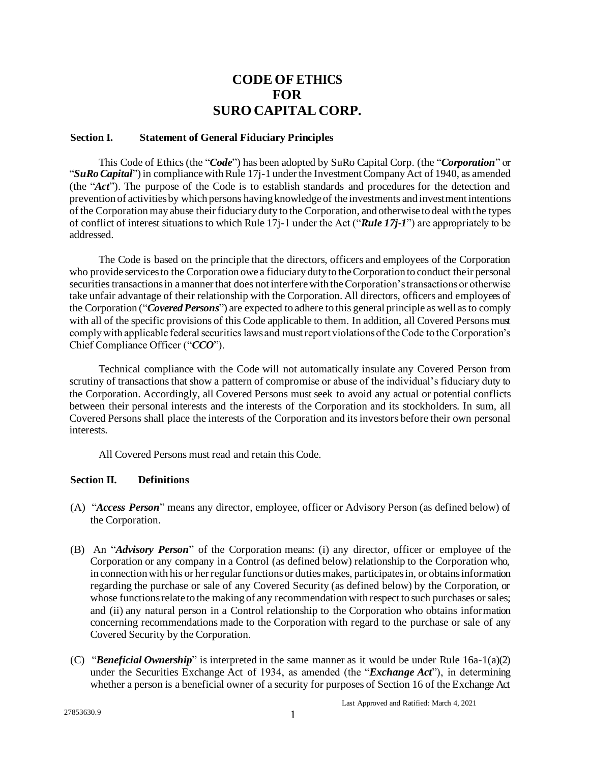# **CODE OF ETHICS FOR SURO CAPITAL CORP.**

### **Section I. Statement of General Fiduciary Principles**

This Code of Ethics (the "*Code*") has been adopted by SuRo Capital Corp. (the "*Corporation*" or "*SuRo Capital*") in compliance with Rule 17j-1 under the Investment Company Act of 1940, as amended (the "*Act*"). The purpose of the Code is to establish standards and procedures for the detection and prevention of activities by which persons having knowledge of the investments and investment intentions of the Corporation may abuse their fiduciary duty to the Corporation, and otherwise to deal with the types of conflict of interest situations to which Rule 17j-1 under the Act ("*Rule 17j-1*") are appropriately to be addressed.

The Code is based on the principle that the directors, officers and employees of the Corporation who provide services to the Corporation owe a fiduciary duty to the Corporation to conduct their personal securities transactions in a manner that does not interfere with the Corporation's transactions or otherwise take unfair advantage of their relationship with the Corporation. All directors, officers and employees of the Corporation ("*Covered Persons*") are expected to adhere to this general principle as well as to comply with all of the specific provisions of this Code applicable to them. In addition, all Covered Persons must comply with applicable federal securities laws and must report violations of the Code to the Corporation's Chief Compliance Officer ("*CCO*").

Technical compliance with the Code will not automatically insulate any Covered Person from scrutiny of transactions that show a pattern of compromise or abuse of the individual's fiduciary duty to the Corporation. Accordingly, all Covered Persons must seek to avoid any actual or potential conflicts between their personal interests and the interests of the Corporation and its stockholders. In sum, all Covered Persons shall place the interests of the Corporation and its investors before their own personal interests.

All Covered Persons must read and retain this Code.

### **Section II. Definitions**

- (A) "*Access Person*" means any director, employee, officer or Advisory Person (as defined below) of the Corporation.
- (B) An "*Advisory Person*" of the Corporation means: (i) any director, officer or employee of the Corporation or any company in a Control (as defined below) relationship to the Corporation who, in connection with his or her regular functions or duties makes, participates in, or obtains information regarding the purchase or sale of any Covered Security (as defined below) by the Corporation, or whose functions relate to the making of any recommendation with respect to such purchases orsales; and (ii) any natural person in a Control relationship to the Corporation who obtains information concerning recommendations made to the Corporation with regard to the purchase or sale of any Covered Security by the Corporation.
- (C) "**Beneficial Ownership**" is interpreted in the same manner as it would be under Rule  $16a-1(a)(2)$ under the Securities Exchange Act of 1934, as amended (the "*Exchange Act*"), in determining whether a person is a beneficial owner of a security for purposes of Section 16 of the Exchange Act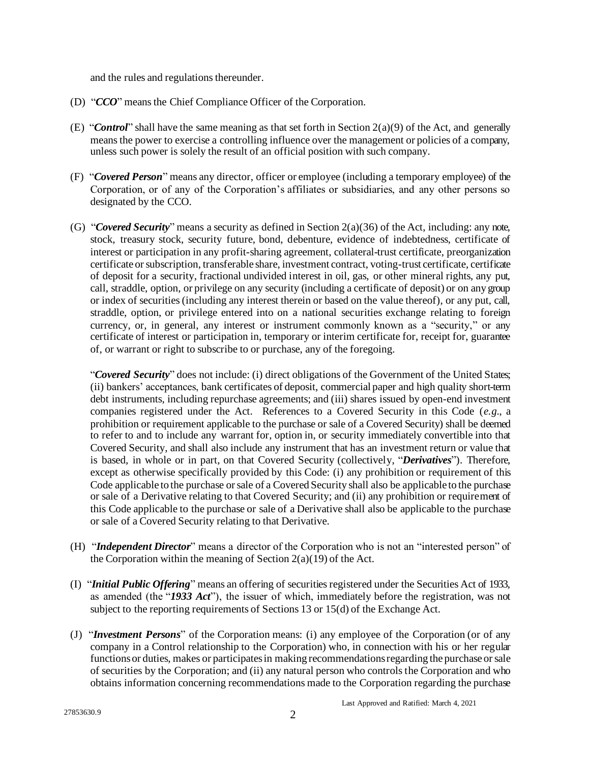and the rules and regulations thereunder.

- (D) "*CCO*" means the Chief Compliance Officer of the Corporation.
- (E) "*Control*" shall have the same meaning as that set forth in Section 2(a)(9) of the Act, and generally means the power to exercise a controlling influence over the management or policies of a company, unless such power is solely the result of an official position with such company.
- (F) "*Covered Person*" means any director, officer or employee (including a temporary employee) of the Corporation, or of any of the Corporation's affiliates or subsidiaries, and any other persons so designated by the CCO.
- (G) "*Covered Security*" means a security as defined in Section 2(a)(36) of the Act, including: any note, stock, treasury stock, security future, bond, debenture, evidence of indebtedness, certificate of interest or participation in any profit-sharing agreement, collateral-trust certificate, preorganization certificate or subscription, transferable share, investment contract, voting-trust certificate, certificate of deposit for a security, fractional undivided interest in oil, gas, or other mineral rights, any put, call, straddle, option, or privilege on any security (including a certificate of deposit) or on any group or index of securities (including any interest therein or based on the value thereof), or any put, call, straddle, option, or privilege entered into on a national securities exchange relating to foreign currency, or, in general, any interest or instrument commonly known as a "security," or any certificate of interest or participation in, temporary or interim certificate for, receipt for, guarantee of, or warrant or right to subscribe to or purchase, any of the foregoing.

"*Covered Security*" does not include: (i) direct obligations of the Government of the United States; (ii) bankers' acceptances, bank certificates of deposit, commercial paper and high quality short-term debt instruments, including repurchase agreements; and (iii) shares issued by open-end investment companies registered under the Act. References to a Covered Security in this Code (*e.g.*, a prohibition or requirement applicable to the purchase or sale of a Covered Security) shall be deemed to refer to and to include any warrant for, option in, or security immediately convertible into that Covered Security, and shall also include any instrument that has an investment return or value that is based, in whole or in part, on that Covered Security (collectively, "*Derivatives*"). Therefore, except as otherwise specifically provided by this Code: (i) any prohibition or requirement of this Code applicable to the purchase or sale of a Covered Security shall also be applicable to the purchase or sale of a Derivative relating to that Covered Security; and (ii) any prohibition or requirement of this Code applicable to the purchase or sale of a Derivative shall also be applicable to the purchase or sale of a Covered Security relating to that Derivative.

- (H) "*Independent Director*" means a director of the Corporation who is not an "interested person" of the Corporation within the meaning of Section  $2(a)(19)$  of the Act.
- (I) "*Initial Public Offering*" means an offering of securities registered under the Securities Act of 1933, as amended (the "*1933 Act*"), the issuer of which, immediately before the registration, was not subject to the reporting requirements of Sections 13 or 15(d) of the Exchange Act.
- (J) "*Investment Persons*" of the Corporation means: (i) any employee of the Corporation (or of any company in a Control relationship to the Corporation) who, in connection with his or her regular functions or duties, makes or participates in making recommendations regarding the purchase or sale of securities by the Corporation; and (ii) any natural person who controls the Corporation and who obtains information concerning recommendations made to the Corporation regarding the purchase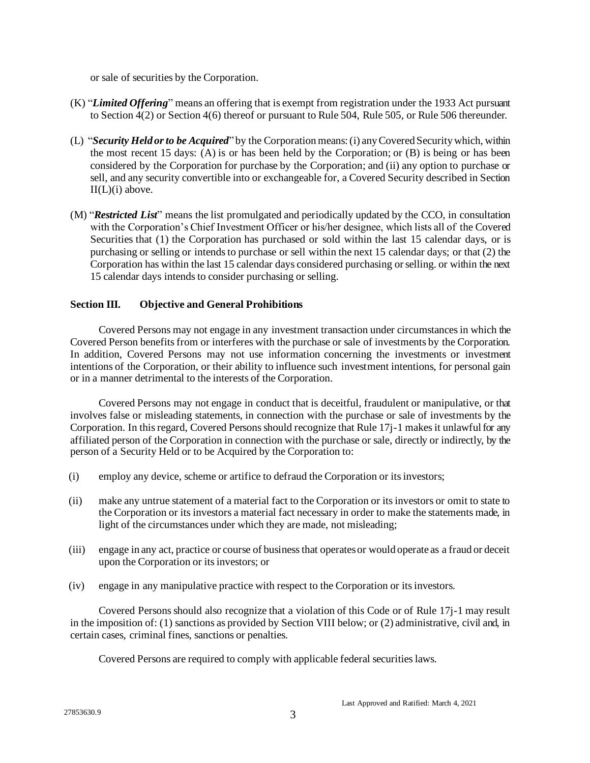or sale of securities by the Corporation.

- (K) "*Limited Offering*" means an offering that is exempt from registration under the 1933 Act pursuant to Section 4(2) or Section 4(6) thereof or pursuant to Rule 504, Rule 505, or Rule 506 thereunder.
- (L) "*Security Held or to be Acquired*" by the Corporationmeans: (i) any Covered Security which, within the most recent 15 days: (A) is or has been held by the Corporation; or (B) is being or has been considered by the Corporation for purchase by the Corporation; and (ii) any option to purchase or sell, and any security convertible into or exchangeable for, a Covered Security described in Section  $II(L)(i)$  above.
- (M) "*Restricted List*" means the list promulgated and periodically updated by the CCO, in consultation with the Corporation's Chief Investment Officer or his/her designee, which lists all of the Covered Securities that (1) the Corporation has purchased or sold within the last 15 calendar days, or is purchasing or selling or intends to purchase or sell within the next 15 calendar days; or that (2) the Corporation has within the last 15 calendar days considered purchasing or selling. or within the next 15 calendar days intends to consider purchasing or selling.

### **Section III. Objective and General Prohibitions**

Covered Persons may not engage in any investment transaction under circumstances in which the Covered Person benefits from or interferes with the purchase or sale of investments by the Corporation. In addition, Covered Persons may not use information concerning the investments or investment intentions of the Corporation, or their ability to influence such investment intentions, for personal gain or in a manner detrimental to the interests of the Corporation.

Covered Persons may not engage in conduct that is deceitful, fraudulent or manipulative, or that involves false or misleading statements, in connection with the purchase or sale of investments by the Corporation. In this regard, Covered Persons should recognize that Rule 17j-1 makes it unlawful for any affiliated person of the Corporation in connection with the purchase or sale, directly or indirectly, by the person of a Security Held or to be Acquired by the Corporation to:

- (i) employ any device, scheme or artifice to defraud the Corporation or its investors;
- (ii) make any untrue statement of a material fact to the Corporation or its investors or omit to state to the Corporation or its investors a material fact necessary in order to make the statements made, in light of the circumstances under which they are made, not misleading;
- (iii) engage in any act, practice or course of business that operates or would operate as a fraud or deceit upon the Corporation or its investors; or
- (iv) engage in any manipulative practice with respect to the Corporation or its investors.

Covered Persons should also recognize that a violation of this Code or of Rule 17j-1 may result in the imposition of: (1) sanctions as provided by Section VIII below; or (2) administrative, civil and, in certain cases, criminal fines, sanctions or penalties.

Covered Persons are required to comply with applicable federal securities laws.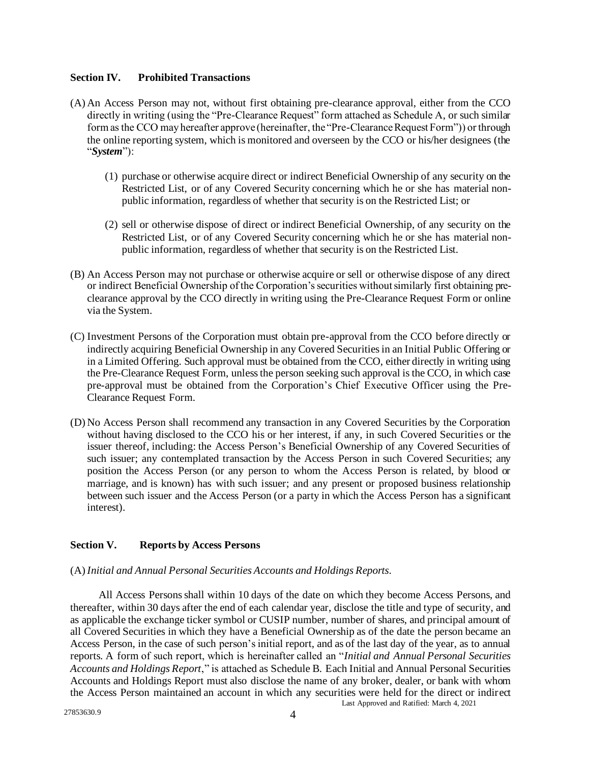### **Section IV. Prohibited Transactions**

- (A) An Access Person may not, without first obtaining pre-clearance approval, either from the CCO directly in writing (using the "Pre-Clearance Request" form attached as Schedule A, or such similar form as the CCO may hereafter approve (hereinafter, the "Pre-Clearance Request Form")) or through the online reporting system, which is monitored and overseen by the CCO or his/her designees (the "*System*"):
	- (1) purchase or otherwise acquire direct or indirect Beneficial Ownership of any security on the Restricted List, or of any Covered Security concerning which he or she has material nonpublic information, regardless of whether that security is on the Restricted List; or
	- (2) sell or otherwise dispose of direct or indirect Beneficial Ownership, of any security on the Restricted List, or of any Covered Security concerning which he or she has material nonpublic information, regardless of whether that security is on the Restricted List.
- (B) An Access Person may not purchase or otherwise acquire or sell or otherwise dispose of any direct or indirect Beneficial Ownership of the Corporation's securities without similarly first obtaining preclearance approval by the CCO directly in writing using the Pre-Clearance Request Form or online via the System.
- (C) Investment Persons of the Corporation must obtain pre-approval from the CCO before directly or indirectly acquiring Beneficial Ownership in any Covered Securities in an Initial Public Offering or in a Limited Offering. Such approval must be obtained from the CCO, either directly in writing using the Pre-Clearance Request Form, unless the person seeking such approval is the CCO, in which case pre-approval must be obtained from the Corporation's Chief Executive Officer using the Pre-Clearance Request Form.
- (D) No Access Person shall recommend any transaction in any Covered Securities by the Corporation without having disclosed to the CCO his or her interest, if any, in such Covered Securities or the issuer thereof, including: the Access Person's Beneficial Ownership of any Covered Securities of such issuer; any contemplated transaction by the Access Person in such Covered Securities; any position the Access Person (or any person to whom the Access Person is related, by blood or marriage, and is known) has with such issuer; and any present or proposed business relationship between such issuer and the Access Person (or a party in which the Access Person has a significant interest).

### **Section V. Reports by Access Persons**

### (A) *Initial and Annual Personal Securities Accounts and Holdings Reports*.

Last Approved and Ratified: March 4, 2021 All Access Persons shall within 10 days of the date on which they become Access Persons, and thereafter, within 30 days after the end of each calendar year, disclose the title and type of security, and as applicable the exchange ticker symbol or CUSIP number, number of shares, and principal amount of all Covered Securities in which they have a Beneficial Ownership as of the date the person became an Access Person, in the case of such person's initial report, and as of the last day of the year, as to annual reports. A form of such report, which is hereinafter called an "*Initial and Annual Personal Securities Accounts and Holdings Report*," is attached as Schedule B. Each Initial and Annual Personal Securities Accounts and Holdings Report must also disclose the name of any broker, dealer, or bank with whom the Access Person maintained an account in which any securities were held for the direct or indirect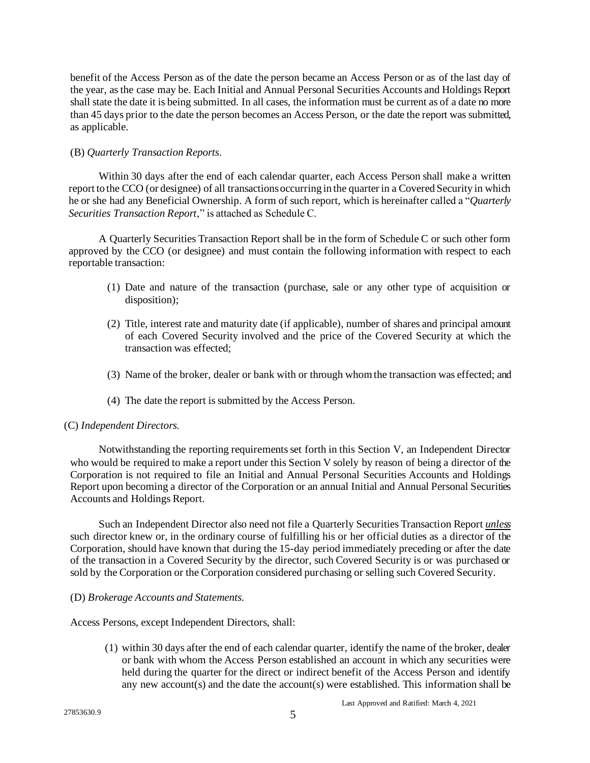benefit of the Access Person as of the date the person became an Access Person or as of the last day of the year, as the case may be. Each Initial and Annual Personal Securities Accounts and Holdings Report shall state the date it is being submitted. In all cases, the information must be current as of a date no more than 45 days prior to the date the person becomes an Access Person, or the date the report was submitted, as applicable.

### (B) *Quarterly Transaction Reports*.

Within 30 days after the end of each calendar quarter, each Access Person shall make a written report to the CCO (or designee) of all transactions occurring in the quarter in a Covered Security in which he or she had any Beneficial Ownership. A form of such report, which is hereinafter called a "*Quarterly Securities Transaction Report*," is attached as Schedule C.

A Quarterly Securities Transaction Report shall be in the form of Schedule C or such other form approved by the CCO (or designee) and must contain the following information with respect to each reportable transaction:

- (1) Date and nature of the transaction (purchase, sale or any other type of acquisition or disposition);
- (2) Title, interest rate and maturity date (if applicable), number of shares and principal amount of each Covered Security involved and the price of the Covered Security at which the transaction was effected;
- (3) Name of the broker, dealer or bank with or through whom the transaction was effected; and
- (4) The date the report is submitted by the Access Person.

#### (C) *Independent Directors*.

Notwithstanding the reporting requirements set forth in this Section V, an Independent Director who would be required to make a report under this Section V solely by reason of being a director of the Corporation is not required to file an Initial and Annual Personal Securities Accounts and Holdings Report upon becoming a director of the Corporation or an annual Initial and Annual Personal Securities Accounts and Holdings Report.

Such an Independent Director also need not file a Quarterly Securities Transaction Report *unless* such director knew or, in the ordinary course of fulfilling his or her official duties as a director of the Corporation, should have known that during the 15-day period immediately preceding or after the date of the transaction in a Covered Security by the director, such Covered Security is or was purchased or sold by the Corporation or the Corporation considered purchasing or selling such Covered Security.

#### (D) *Brokerage Accounts and Statements*.

Access Persons, except Independent Directors, shall:

(1) within 30 days after the end of each calendar quarter, identify the name of the broker, dealer or bank with whom the Access Person established an account in which any securities were held during the quarter for the direct or indirect benefit of the Access Person and identify any new account(s) and the date the account(s) were established. This information shall be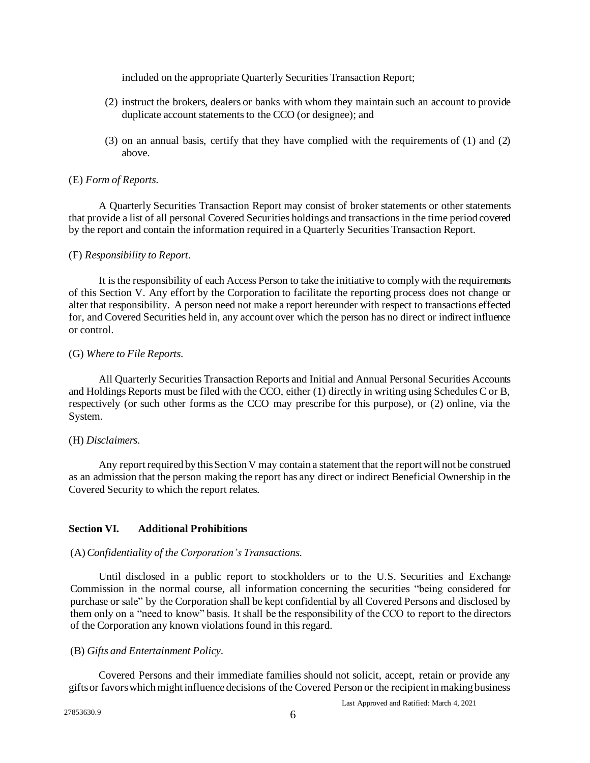included on the appropriate Quarterly Securities Transaction Report;

- (2) instruct the brokers, dealers or banks with whom they maintain such an account to provide duplicate account statements to the CCO (or designee); and
- (3) on an annual basis, certify that they have complied with the requirements of (1) and (2) above.

#### (E) *Form of Reports*.

A Quarterly Securities Transaction Report may consist of broker statements or other statements that provide a list of all personal Covered Securities holdings and transactions in the time period covered by the report and contain the information required in a Quarterly Securities Transaction Report.

### (F) *Responsibility to Report*.

It is the responsibility of each Access Person to take the initiative to comply with the requirements of this Section V. Any effort by the Corporation to facilitate the reporting process does not change or alter that responsibility. A person need not make a report hereunder with respect to transactions effected for, and Covered Securities held in, any account over which the person has no direct or indirect influence or control.

#### (G) *Where to File Reports*.

All Quarterly Securities Transaction Reports and Initial and Annual Personal Securities Accounts and Holdings Reports must be filed with the CCO, either (1) directly in writing using Schedules C or B, respectively (or such other forms as the CCO may prescribe for this purpose), or (2) online, via the System.

### (H) *Disclaimers*.

Any report required by this Section V may contain a statement that the report will not be construed as an admission that the person making the report has any direct or indirect Beneficial Ownership in the Covered Security to which the report relates.

### **Section VI. Additional Prohibitions**

### (A) *Confidentiality of the Corporation's Transactions*.

Until disclosed in a public report to stockholders or to the U.S. Securities and Exchange Commission in the normal course, all information concerning the securities "being considered for purchase or sale" by the Corporation shall be kept confidential by all Covered Persons and disclosed by them only on a "need to know" basis. It shall be the responsibility of the CCO to report to the directors of the Corporation any known violations found in this regard.

#### (B) *Gifts and Entertainment Policy*.

Covered Persons and their immediate families should not solicit, accept, retain or provide any gifts or favors which might influence decisions of the Covered Person or the recipient in making business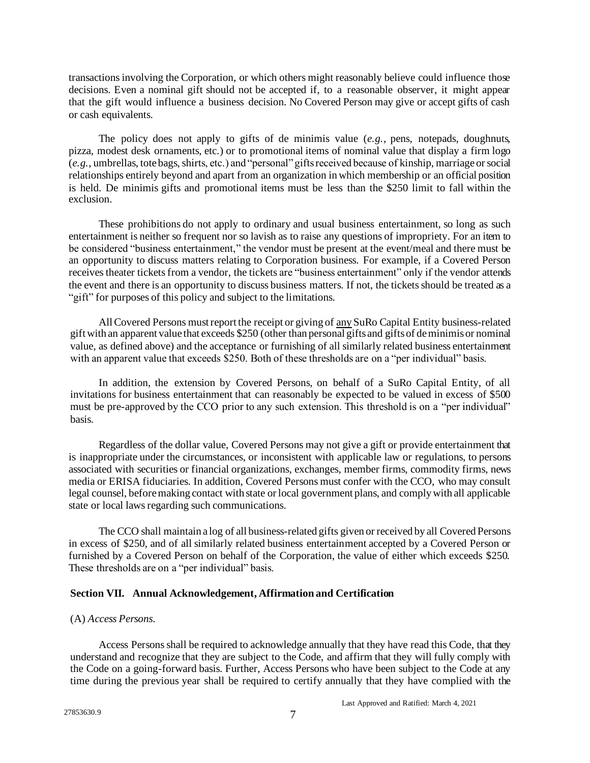transactions involving the Corporation, or which others might reasonably believe could influence those decisions. Even a nominal gift should not be accepted if, to a reasonable observer, it might appear that the gift would influence a business decision. No Covered Person may give or accept gifts of cash or cash equivalents.

The policy does not apply to gifts of de minimis value (*e.g.*, pens, notepads, doughnuts, pizza, modest desk ornaments, etc.) or to promotional items of nominal value that display a firm logo (*e.g.*, umbrellas, tote bags, shirts, etc.) and "personal" gifts received because of kinship, marriage orsocial relationships entirely beyond and apart from an organization inwhich membership or an official position is held. De minimis gifts and promotional items must be less than the \$250 limit to fall within the exclusion.

These prohibitions do not apply to ordinary and usual business entertainment, so long as such entertainment is neither so frequent nor so lavish as to raise any questions of impropriety. For an item to be considered "business entertainment," the vendor must be present at the event/meal and there must be an opportunity to discuss matters relating to Corporation business. For example, if a Covered Person receivestheater tickets from a vendor, the tickets are "business entertainment" only if the vendor attends the event and there is an opportunity to discuss business matters. If not, the tickets should be treated as a "gift" for purposes of this policy and subject to the limitations.

All Covered Persons must report the receipt or giving of any SuRo Capital Entity business-related gift with an apparent value that exceeds \$250 (other than personal gifts and giftsof de minimis or nominal value, as defined above) and the acceptance or furnishing of all similarly related business entertainment with an apparent value that exceeds \$250. Both of these thresholds are on a "per individual" basis.

In addition, the extension by Covered Persons, on behalf of a SuRo Capital Entity, of all invitations for business entertainment that can reasonably be expected to be valued in excess of \$500 must be pre-approved by the CCO prior to any such extension. This threshold is on a "per individual" basis.

Regardless of the dollar value, Covered Persons may not give a gift or provide entertainment that is inappropriate under the circumstances, or inconsistent with applicable law or regulations, to persons associated with securities or financial organizations, exchanges, member firms, commodity firms, news media or ERISA fiduciaries. In addition, Covered Persons must confer with the CCO, who may consult legal counsel, before making contact with state or local government plans, and comply with all applicable state or local laws regarding such communications.

The CCO shall maintain a log of all business-related gifts given or received by all Covered Persons in excess of \$250, and of all similarly related business entertainment accepted by a Covered Person or furnished by a Covered Person on behalf of the Corporation, the value of either which exceeds \$250. These thresholds are on a "per individual" basis.

### **Section VII. Annual Acknowledgement, Affirmation and Certification**

#### (A) *Access Persons*.

Access Persons shall be required to acknowledge annually that they have read this Code, that they understand and recognize that they are subject to the Code, and affirm that they will fully comply with the Code on a going-forward basis. Further, Access Persons who have been subject to the Code at any time during the previous year shall be required to certify annually that they have complied with the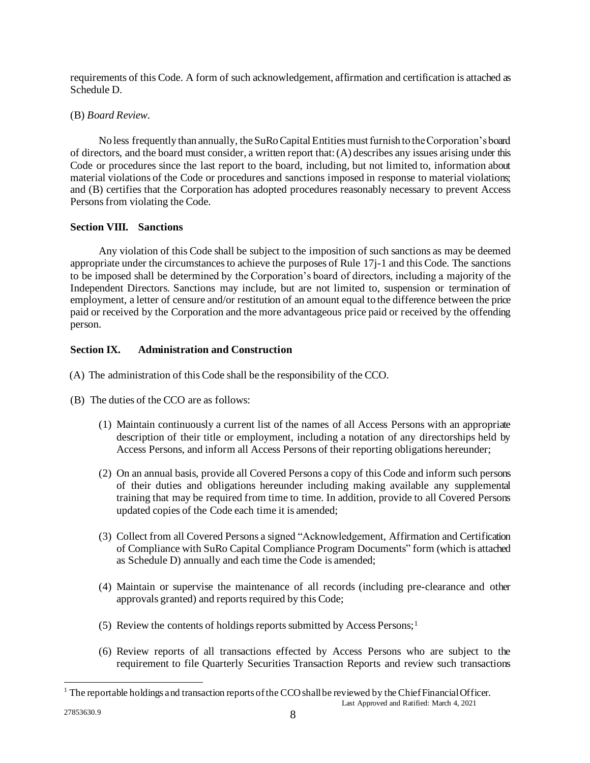requirements of this Code. A form of such acknowledgement, affirmation and certification is attached as Schedule D.

### (B) *Board Review*.

No less frequently than annually, the SuRo Capital Entities must furnish to the Corporation's board of directors, and the board must consider, a written report that: (A) describes any issues arising under this Code or procedures since the last report to the board, including, but not limited to, information about material violations of the Code or procedures and sanctions imposed in response to material violations; and (B) certifies that the Corporation has adopted procedures reasonably necessary to prevent Access Persons from violating the Code.

### **Section VIII. Sanctions**

Any violation of this Code shall be subject to the imposition of such sanctions as may be deemed appropriate under the circumstances to achieve the purposes of Rule 17j-1 and this Code. The sanctions to be imposed shall be determined by the Corporation's board of directors, including a majority of the Independent Directors. Sanctions may include, but are not limited to, suspension or termination of employment, a letter of censure and/or restitution of an amount equal to the difference between the price paid or received by the Corporation and the more advantageous price paid or received by the offending person.

### **Section IX. Administration and Construction**

- (A) The administration of this Code shall be the responsibility of the CCO.
- (B) The duties of the CCO are as follows:
	- (1) Maintain continuously a current list of the names of all Access Persons with an appropriate description of their title or employment, including a notation of any directorships held by Access Persons, and inform all Access Persons of their reporting obligations hereunder;
	- (2) On an annual basis, provide all Covered Persons a copy of this Code and inform such persons of their duties and obligations hereunder including making available any supplemental training that may be required from time to time. In addition, provide to all Covered Persons updated copies of the Code each time it is amended;
	- (3) Collect from all Covered Persons a signed "Acknowledgement, Affirmation and Certification of Compliance with SuRo Capital Compliance Program Documents" form (which is attached as Schedule D) annually and each time the Code is amended;
	- (4) Maintain or supervise the maintenance of all records (including pre-clearance and other approvals granted) and reports required by this Code;
	- (5) Review the contents of holdings reports submitted by Access Persons;<sup>1</sup>
	- (6) Review reports of all transactions effected by Access Persons who are subject to the requirement to file Quarterly Securities Transaction Reports and review such transactions

 $<sup>1</sup>$  The reportable holdings and transaction reports of the CCO shall be reviewed by the Chief Financial Officer.</sup>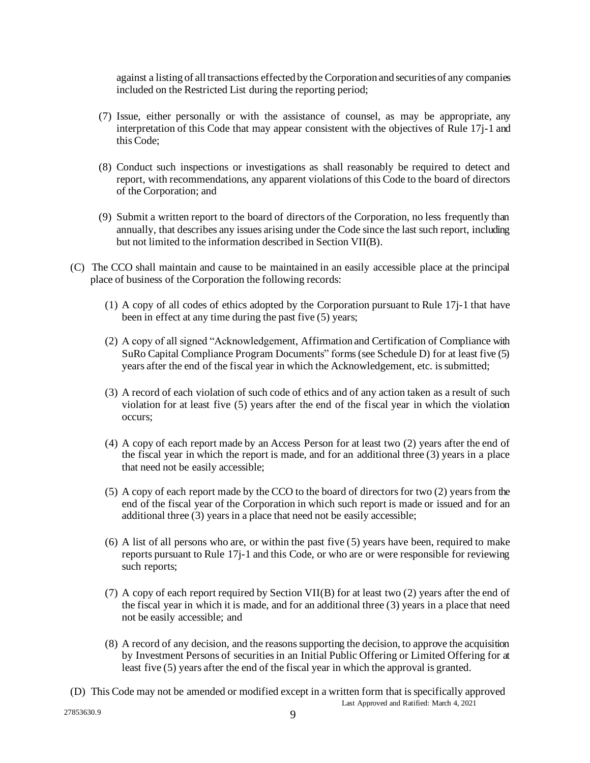against a listing of all transactions effected by the Corporation and securities of any companies included on the Restricted List during the reporting period;

- (7) Issue, either personally or with the assistance of counsel, as may be appropriate, any interpretation of this Code that may appear consistent with the objectives of Rule 17j-1 and this Code;
- (8) Conduct such inspections or investigations as shall reasonably be required to detect and report, with recommendations, any apparent violations of this Code to the board of directors of the Corporation; and
- (9) Submit a written report to the board of directors of the Corporation, no less frequently than annually, that describes any issues arising under the Code since the last such report, including but not limited to the information described in Section VII(B).
- (C) The CCO shall maintain and cause to be maintained in an easily accessible place at the principal place of business of the Corporation the following records:
	- (1) A copy of all codes of ethics adopted by the Corporation pursuant to Rule 17j-1 that have been in effect at any time during the past five (5) years;
	- (2) A copy of all signed "Acknowledgement, Affirmation and Certification of Compliance with SuRo Capital Compliance Program Documents" forms (see Schedule D) for at least five (5) years after the end of the fiscal year in which the Acknowledgement, etc. is submitted;
	- (3) A record of each violation of such code of ethics and of any action taken as a result of such violation for at least five (5) years after the end of the fiscal year in which the violation occurs;
	- (4) A copy of each report made by an Access Person for at least two (2) years after the end of the fiscal year in which the report is made, and for an additional three (3) years in a place that need not be easily accessible;
	- (5) A copy of each report made by the CCO to the board of directors for two (2) years from the end of the fiscal year of the Corporation in which such report is made or issued and for an additional three (3) years in a place that need not be easily accessible;
	- (6) A list of all persons who are, or within the past five (5) years have been, required to make reports pursuant to Rule 17j-1 and this Code, or who are or were responsible for reviewing such reports;
	- (7) A copy of each report required by Section VII(B) for at least two (2) years after the end of the fiscal year in which it is made, and for an additional three (3) years in a place that need not be easily accessible; and
	- (8) A record of any decision, and the reasons supporting the decision, to approve the acquisition by Investment Persons of securities in an Initial Public Offering or Limited Offering for at least five (5) years after the end of the fiscal year in which the approval is granted.

Last Approved and Ratified: March 4, 2021 (D) This Code may not be amended or modified except in a written form that is specifically approved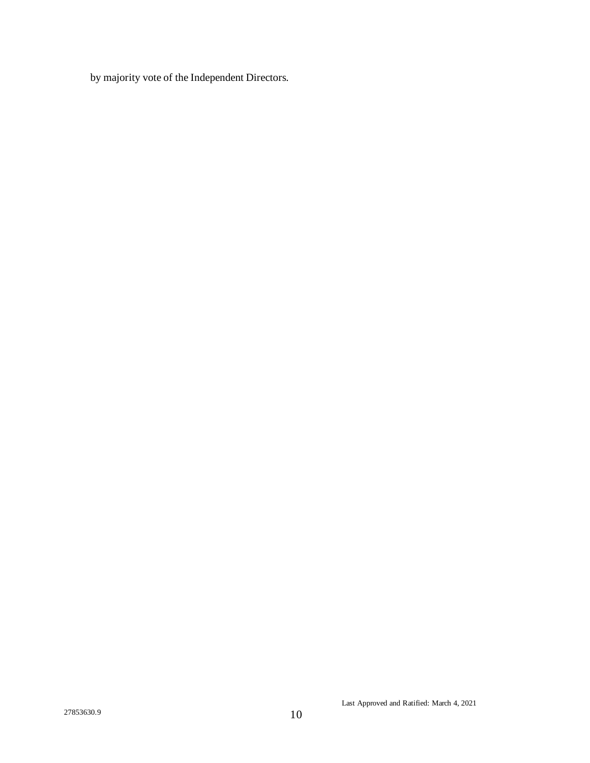by majority vote of the Independent Directors.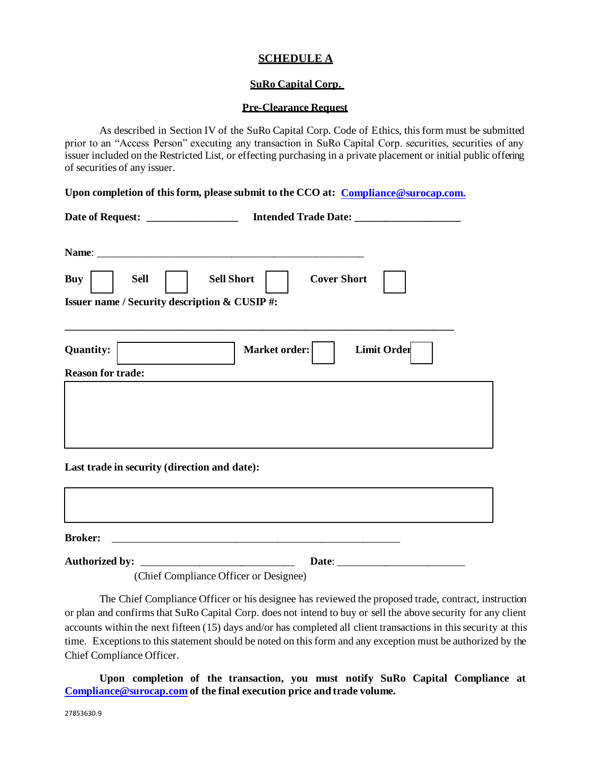# **SCHEDULE A**

# **SuRo Capital Corp.**

### **Pre-Clearance Request**

As described in Section IV of the SuRo Capital Corp. Code of Ethics, this form must be submitted prior to an "Access Person" executing any transaction in SuRo Capital Corp. securities, securities of any issuer included on the Restricted List, or effecting purchasing in a private placement or initial public offering of securities of any issuer.

Upon completion of this form, please submit to the CCO at: [Compliance@surocap.com.](mailto:Compliance@surocap.com.)

| Date of Request: _________________<br>Intended Trade Date: __________                                                                                                                                                         |
|-------------------------------------------------------------------------------------------------------------------------------------------------------------------------------------------------------------------------------|
| Name: Name: Name: Name: Name: Name: Name: Name: Name: Name: Name: Name: Name: Name: Name: Name: Name: Name: Name: Name: Name: Name: Name: Name: Name: Name: Name: Name: Name: Name: Name: Name: Name: Name: Name: Name: Name: |
| <b>Sell Short</b><br><b>Sell</b><br><b>Cover Short</b><br><b>Buy</b>                                                                                                                                                          |
| <b>Issuer name / Security description &amp; CUSIP #:</b>                                                                                                                                                                      |
|                                                                                                                                                                                                                               |
| <b>Limit Order</b><br>Market order:<br><b>Quantity:</b>                                                                                                                                                                       |
| <b>Reason for trade:</b>                                                                                                                                                                                                      |
|                                                                                                                                                                                                                               |
|                                                                                                                                                                                                                               |
|                                                                                                                                                                                                                               |
|                                                                                                                                                                                                                               |
| Last trade in security (direction and date):                                                                                                                                                                                  |

| <b>Broker:</b>                                  |  |
|-------------------------------------------------|--|
|                                                 |  |
|                                                 |  |
| $(21 \cdot 22 \cdot 1)$ $(21 \cdot 22 \cdot 1)$ |  |

(Chief Compliance Officer or Designee)

The Chief Compliance Officer or his designee has reviewed the proposed trade, contract, instruction or plan and confirms that SuRo Capital Corp. does not intend to buy or sell the above security for any client accounts within the next fifteen (15) days and/or has completed all client transactions in this security at this time. Exceptions to this statement should be noted on this form and any exception must be authorized by the Chief Compliance Officer.

**Upon completion of the transaction, you must notify SuRo Capital Compliance at [Compliance@surocap.com](mailto:Compliance@surocap.com) of the final execution price and trade volume.**

27853630.9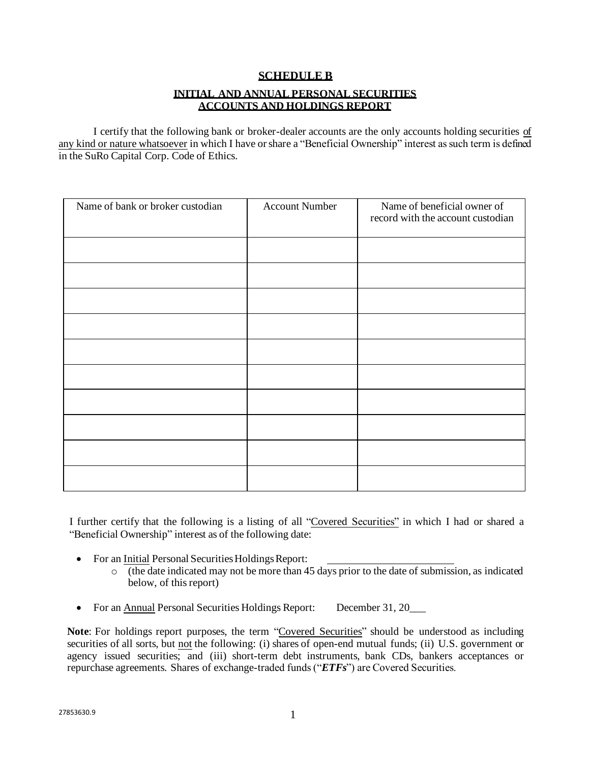# **SCHEDULE B**

### **INITIAL AND ANNUAL PERSONAL SECURITIES ACCOUNTS AND HOLDINGS REPORT**

I certify that the following bank or broker-dealer accounts are the only accounts holding securities of any kind or nature whatsoever in which I have orshare a "Beneficial Ownership" interest as such term is defined in the SuRo Capital Corp. Code of Ethics.

| Name of bank or broker custodian | <b>Account Number</b> | Name of beneficial owner of<br>record with the account custodian |
|----------------------------------|-----------------------|------------------------------------------------------------------|
|                                  |                       |                                                                  |
|                                  |                       |                                                                  |
|                                  |                       |                                                                  |
|                                  |                       |                                                                  |
|                                  |                       |                                                                  |
|                                  |                       |                                                                  |
|                                  |                       |                                                                  |
|                                  |                       |                                                                  |
|                                  |                       |                                                                  |
|                                  |                       |                                                                  |

I further certify that the following is a listing of all "Covered Securities" in which I had or shared a "Beneficial Ownership" interest as of the following date:

- For an Initial Personal Securities Holdings Report:
	- $\circ$  (the date indicated may not be more than 45 days prior to the date of submission, as indicated below, of this report)
- For an Annual Personal Securities Holdings Report: December 31, 20\_\_\_

Note: For holdings report purposes, the term "Covered Securities" should be understood as including securities of all sorts, but not the following: (i) shares of open-end mutual funds; (ii) U.S. government or agency issued securities; and (iii) short-term debt instruments, bank CDs, bankers acceptances or repurchase agreements. Shares of exchange-traded funds ("*ETFs*") are Covered Securities.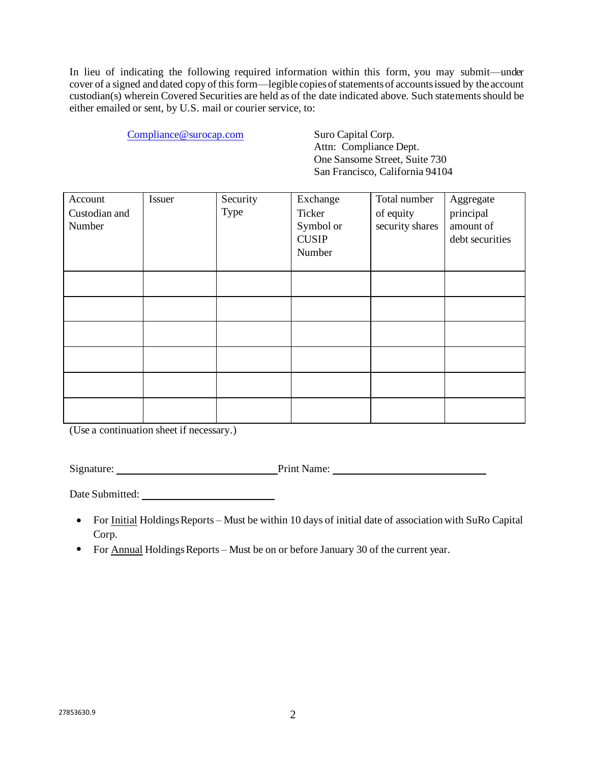In lieu of indicating the following required information within this form, you may submit—under cover of a signed and dated copy of this form—legible copies of statements of accounts issued by the account custodian(s) wherein Covered Securities are held as of the date indicated above. Such statements should be either emailed or sent, by U.S. mail or courier service, to:

Compliance @ surocap.com Suro Capital Corp.

Attn: Compliance Dept. One Sansome Street, Suite 730 San Francisco, California 94104

| Account<br>Custodian and<br>Number | Issuer | Security<br>Type | Exchange<br>Ticker<br>Symbol or<br><b>CUSIP</b><br>Number | Total number<br>of equity<br>security shares | Aggregate<br>principal<br>amount of<br>debt securities |
|------------------------------------|--------|------------------|-----------------------------------------------------------|----------------------------------------------|--------------------------------------------------------|
|                                    |        |                  |                                                           |                                              |                                                        |
|                                    |        |                  |                                                           |                                              |                                                        |
|                                    |        |                  |                                                           |                                              |                                                        |
|                                    |        |                  |                                                           |                                              |                                                        |
|                                    |        |                  |                                                           |                                              |                                                        |
|                                    |        |                  |                                                           |                                              |                                                        |

(Use a continuation sheet if necessary.)

Signature: Print Name:

Date Submitted: University of Submitted:

- For Initial Holdings Reports Must be within 10 days of initial date of association with SuRo Capital Corp.
- For Annual Holdings Reports Must be on or before January 30 of the current year.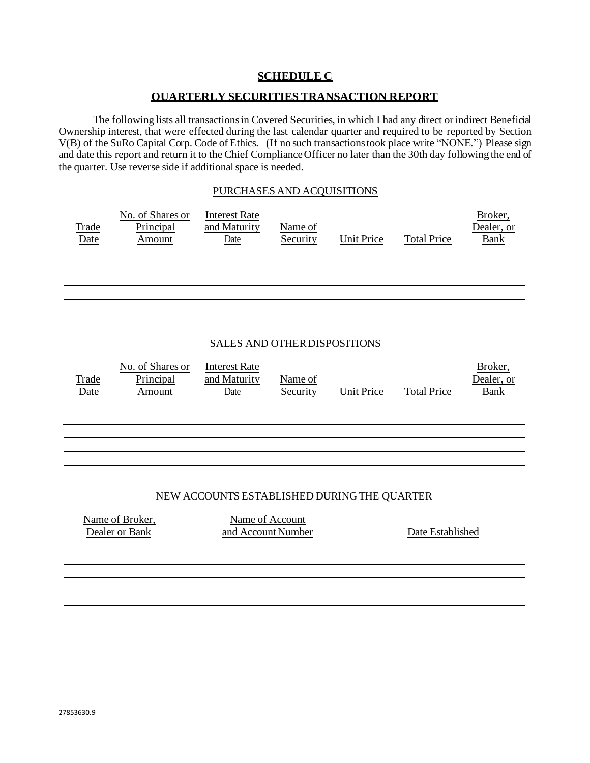# **SCHEDULE C**

### **QUARTERLY SECURITIES TRANSACTION REPORT**

The following lists all transactionsin Covered Securities, in which I had any direct or indirect Beneficial Ownership interest, that were effected during the last calendar quarter and required to be reported by Section V(B) of the SuRo Capital Corp. Code of Ethics. (If no such transactionstook place write "NONE.") Please sign and date this report and return it to the Chief Compliance Officer no later than the 30th day following the end of the quarter. Use reverse side if additional space is needed.

### PURCHASES AND ACQUISITIONS

| <b>Trade</b><br>Date | No. of Shares or<br>Principal<br><u>Amount</u> | <b>Interest Rate</b><br>and Maturity<br>Date                                 | Name of<br>Security | <b>Unit Price</b> | <b>Total Price</b> | Broker,<br>Dealer, or<br><b>Bank</b> |
|----------------------|------------------------------------------------|------------------------------------------------------------------------------|---------------------|-------------------|--------------------|--------------------------------------|
|                      |                                                |                                                                              |                     |                   |                    |                                      |
|                      |                                                |                                                                              |                     |                   |                    |                                      |
| Trade<br><b>Date</b> | No. of Shares or<br>Principal<br>Amount        | SALES AND OTHER DISPOSITIONS<br><b>Interest Rate</b><br>and Maturity<br>Date | Name of<br>Security | Unit Price        | <b>Total Price</b> | Broker,<br>Dealer, or<br><b>Bank</b> |
|                      |                                                |                                                                              |                     |                   |                    |                                      |

### NEW ACCOUNTS ESTABLISHED DURINGTHE QUARTER

Name of Broker, Dealer or Bank

Name of Account and Account Number Date Established